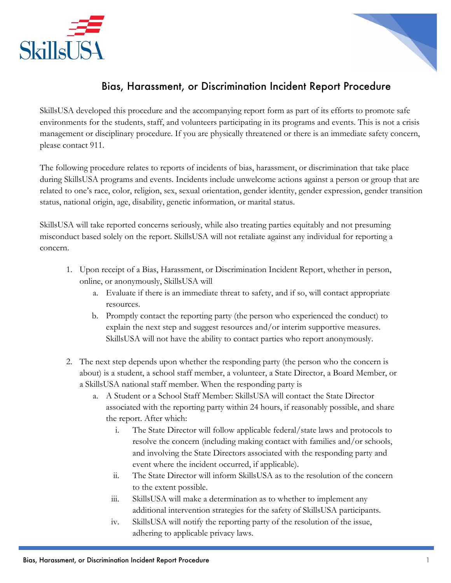



## Bias, Harassment, or Discrimination Incident Report Procedure

SkillsUSA developed this procedure and the accompanying report form as part of its efforts to promote safe environments for the students, staff, and volunteers participating in its programs and events. This is not a crisis management or disciplinary procedure. If you are physically threatened or there is an immediate safety concern, please contact 911.

The following procedure relates to reports of incidents of bias, harassment, or discrimination that take place during SkillsUSA programs and events. Incidents include unwelcome actions against a person or group that are related to one's race, color, religion, sex, sexual orientation, gender identity, gender expression, gender transition status, national origin, age, disability, genetic information, or marital status.

SkillsUSA will take reported concerns seriously, while also treating parties equitably and not presuming misconduct based solely on the report. SkillsUSA will not retaliate against any individual for reporting a concern.

- 1. Upon receipt of a Bias, Harassment, or Discrimination Incident Report, whether in person, online, or anonymously, SkillsUSA will
	- a. Evaluate if there is an immediate threat to safety, and if so, will contact appropriate resources.
	- b. Promptly contact the reporting party (the person who experienced the conduct) to explain the next step and suggest resources and/or interim supportive measures. SkillsUSA will not have the ability to contact parties who report anonymously.
- 2. The next step depends upon whether the responding party (the person who the concern is about) is a student, a school staff member, a volunteer, a State Director, a Board Member, or a SkillsUSA national staff member. When the responding party is
	- a. A Student or a School Staff Member: SkillsUSA will contact the State Director associated with the reporting party within 24 hours, if reasonably possible, and share the report. After which:
		- i. The State Director will follow applicable federal/state laws and protocols to resolve the concern (including making contact with families and/or schools, and involving the State Directors associated with the responding party and event where the incident occurred, if applicable).
		- ii. The State Director will inform SkillsUSA as to the resolution of the concern to the extent possible.
		- iii. SkillsUSA will make a determination as to whether to implement any additional intervention strategies for the safety of SkillsUSA participants.
		- iv. SkillsUSA will notify the reporting party of the resolution of the issue, adhering to applicable privacy laws.